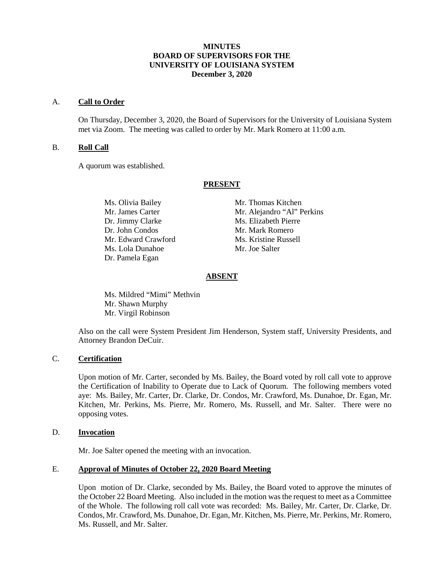## **MINUTES BOARD OF SUPERVISORS FOR THE UNIVERSITY OF LOUISIANA SYSTEM December 3, 2020**

#### A. **Call to Order**

On Thursday, December 3, 2020, the Board of Supervisors for the University of Louisiana System met via Zoom. The meeting was called to order by Mr. Mark Romero at 11:00 a.m.

## B. **Roll Call**

A quorum was established.

### **PRESENT**

Ms. Olivia Bailey Mr. Thomas Kitchen Dr. Jimmy Clarke Ms. Elizabeth Pierre Dr. John Condos Mr. Mark Romero Mr. Edward Crawford Ms. Kristine Russell Ms. Lola Dunahoe Mr. Joe Salter Dr. Pamela Egan

Mr. James Carter Mr. Alejandro "Al" Perkins

# **ABSENT**

Ms. Mildred "Mimi" Methvin Mr. Shawn Murphy Mr. Virgil Robinson

Also on the call were System President Jim Henderson, System staff, University Presidents, and Attorney Brandon DeCuir.

## C. **Certification**

Upon motion of Mr. Carter, seconded by Ms. Bailey, the Board voted by roll call vote to approve the Certification of Inability to Operate due to Lack of Quorum. The following members voted aye: Ms. Bailey, Mr. Carter, Dr. Clarke, Dr. Condos, Mr. Crawford, Ms. Dunahoe, Dr. Egan, Mr. Kitchen, Mr. Perkins, Ms. Pierre, Mr. Romero, Ms. Russell, and Mr. Salter. There were no opposing votes.

#### D. **Invocation**

Mr. Joe Salter opened the meeting with an invocation.

## E. **Approval of Minutes of October 22, 2020 Board Meeting**

Upon motion of Dr. Clarke, seconded by Ms. Bailey, the Board voted to approve the minutes of the October 22 Board Meeting. Also included in the motion was the request to meet as a Committee of the Whole. The following roll call vote was recorded: Ms. Bailey, Mr. Carter, Dr. Clarke, Dr. Condos, Mr. Crawford, Ms. Dunahoe, Dr. Egan, Mr. Kitchen, Ms. Pierre, Mr. Perkins, Mr. Romero, Ms. Russell, and Mr. Salter.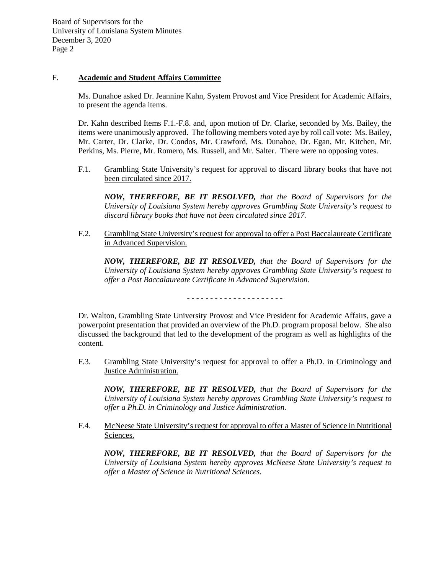## F. **Academic and Student Affairs Committee**

Ms. Dunahoe asked Dr. Jeannine Kahn, System Provost and Vice President for Academic Affairs, to present the agenda items.

Dr. Kahn described Items F.1.-F.8. and, upon motion of Dr. Clarke, seconded by Ms. Bailey, the items were unanimously approved. The following members voted aye by roll call vote: Ms. Bailey, Mr. Carter, Dr. Clarke, Dr. Condos, Mr. Crawford, Ms. Dunahoe, Dr. Egan, Mr. Kitchen, Mr. Perkins, Ms. Pierre, Mr. Romero, Ms. Russell, and Mr. Salter. There were no opposing votes.

F.1. Grambling State University's request for approval to discard library books that have not been circulated since 2017.

*NOW, THEREFORE, BE IT RESOLVED, that the Board of Supervisors for the University of Louisiana System hereby approves Grambling State University's request to discard library books that have not been circulated since 2017.*

F.2. Grambling State University's request for approval to offer a Post Baccalaureate Certificate in Advanced Supervision.

*NOW, THEREFORE, BE IT RESOLVED, that the Board of Supervisors for the University of Louisiana System hereby approves Grambling State University's request to offer a Post Baccalaureate Certificate in Advanced Supervision.*

- - - - - - - - - - - - - - - - - - - - -

Dr. Walton, Grambling State University Provost and Vice President for Academic Affairs, gave a powerpoint presentation that provided an overview of the Ph.D. program proposal below. She also discussed the background that led to the development of the program as well as highlights of the content.

F.3. Grambling State University's request for approval to offer a Ph.D. in Criminology and Justice Administration.

*NOW, THEREFORE, BE IT RESOLVED, that the Board of Supervisors for the University of Louisiana System hereby approves Grambling State University's request to offer a Ph.D. in Criminology and Justice Administration.*

F.4. McNeese State University's request for approval to offer a Master of Science in Nutritional Sciences.

*NOW, THEREFORE, BE IT RESOLVED, that the Board of Supervisors for the University of Louisiana System hereby approves McNeese State University's request to offer a Master of Science in Nutritional Sciences.*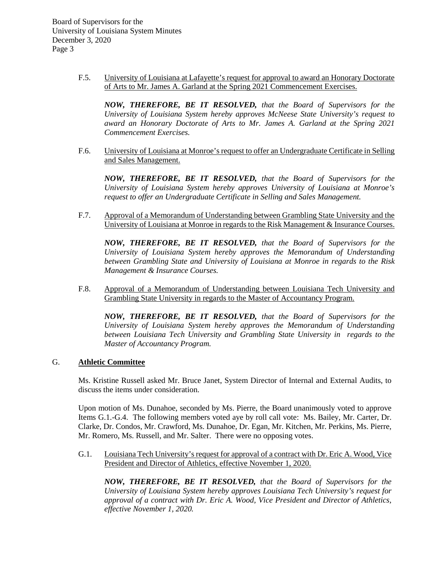> F.5. University of Louisiana at Lafayette's request for approval to award an Honorary Doctorate of Arts to Mr. James A. Garland at the Spring 2021 Commencement Exercises.

*NOW, THEREFORE, BE IT RESOLVED, that the Board of Supervisors for the University of Louisiana System hereby approves McNeese State University's request to award an Honorary Doctorate of Arts to Mr. James A. Garland at the Spring 2021 Commencement Exercises.*

F.6. University of Louisiana at Monroe's request to offer an Undergraduate Certificate in Selling and Sales Management.

*NOW, THEREFORE, BE IT RESOLVED, that the Board of Supervisors for the University of Louisiana System hereby approves University of Louisiana at Monroe's request to offer an Undergraduate Certificate in Selling and Sales Management.*

F.7. Approval of a Memorandum of Understanding between Grambling State University and the University of Louisiana at Monroe in regards to the Risk Management & Insurance Courses.

*NOW, THEREFORE, BE IT RESOLVED, that the Board of Supervisors for the University of Louisiana System hereby approves the Memorandum of Understanding between Grambling State and University of Louisiana at Monroe in regards to the Risk Management & Insurance Courses.*

F.8. Approval of a Memorandum of Understanding between Louisiana Tech University and Grambling State University in regards to the Master of Accountancy Program.

*NOW, THEREFORE, BE IT RESOLVED, that the Board of Supervisors for the University of Louisiana System hereby approves the Memorandum of Understanding between Louisiana Tech University and Grambling State University in regards to the Master of Accountancy Program.* 

# G. **Athletic Committee**

Ms. Kristine Russell asked Mr. Bruce Janet, System Director of Internal and External Audits, to discuss the items under consideration.

Upon motion of Ms. Dunahoe, seconded by Ms. Pierre, the Board unanimously voted to approve Items G.1.-G.4. The following members voted aye by roll call vote: Ms. Bailey, Mr. Carter, Dr. Clarke, Dr. Condos, Mr. Crawford, Ms. Dunahoe, Dr. Egan, Mr. Kitchen, Mr. Perkins, Ms. Pierre, Mr. Romero, Ms. Russell, and Mr. Salter. There were no opposing votes.

G.1. Louisiana Tech University's request for approval of a contract with Dr. Eric A. Wood, Vice President and Director of Athletics, effective November 1, 2020.

*NOW, THEREFORE, BE IT RESOLVED, that the Board of Supervisors for the University of Louisiana System hereby approves Louisiana Tech University's request for approval of a contract with Dr. Eric A. Wood, Vice President and Director of Athletics, effective November 1, 2020.*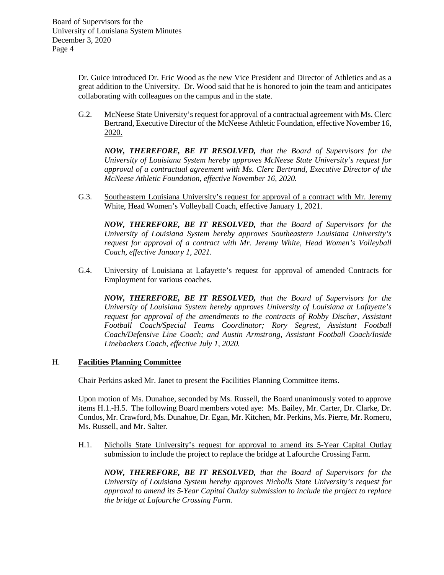Dr. Guice introduced Dr. Eric Wood as the new Vice President and Director of Athletics and as a great addition to the University. Dr. Wood said that he is honored to join the team and anticipates collaborating with colleagues on the campus and in the state.

G.2. McNeese State University's request for approval of a contractual agreement with Ms. Clerc Bertrand, Executive Director of the McNeese Athletic Foundation, effective November 16, 2020.

*NOW, THEREFORE, BE IT RESOLVED, that the Board of Supervisors for the University of Louisiana System hereby approves McNeese State University's request for approval of a contractual agreement with Ms. Clerc Bertrand, Executive Director of the McNeese Athletic Foundation, effective November 16, 2020.*

G.3. Southeastern Louisiana University's request for approval of a contract with Mr. Jeremy White, Head Women's Volleyball Coach, effective January 1, 2021.

*NOW, THEREFORE, BE IT RESOLVED, that the Board of Supervisors for the University of Louisiana System hereby approves Southeastern Louisiana University's request for approval of a contract with Mr. Jeremy White, Head Women's Volleyball Coach, effective January 1, 2021.* 

G.4. University of Louisiana at Lafayette's request for approval of amended Contracts for Employment for various coaches.

*NOW, THEREFORE, BE IT RESOLVED, that the Board of Supervisors for the University of Louisiana System hereby approves University of Louisiana at Lafayette's request for approval of the amendments to the contracts of Robby Discher, Assistant Football Coach/Special Teams Coordinator; Rory Segrest, Assistant Football Coach/Defensive Line Coach; and Austin Armstrong, Assistant Football Coach/Inside Linebackers Coach, effective July 1, 2020.*

## H. **Facilities Planning Committee**

Chair Perkins asked Mr. Janet to present the Facilities Planning Committee items.

Upon motion of Ms. Dunahoe, seconded by Ms. Russell, the Board unanimously voted to approve items H.1.-H.5. The following Board members voted aye: Ms. Bailey, Mr. Carter, Dr. Clarke, Dr. Condos, Mr. Crawford, Ms. Dunahoe, Dr. Egan, Mr. Kitchen, Mr. Perkins, Ms. Pierre, Mr. Romero, Ms. Russell, and Mr. Salter.

H.1. Nicholls State University's request for approval to amend its 5-Year Capital Outlay submission to include the project to replace the bridge at Lafourche Crossing Farm.

*NOW, THEREFORE, BE IT RESOLVED, that the Board of Supervisors for the University of Louisiana System hereby approves Nicholls State University's request for approval to amend its 5-Year Capital Outlay submission to include the project to replace the bridge at Lafourche Crossing Farm.*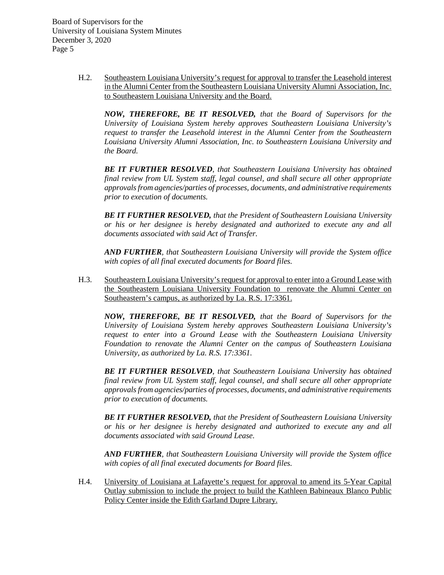> H.2. Southeastern Louisiana University's request for approval to transfer the Leasehold interest in the Alumni Center from the Southeastern Louisiana University Alumni Association, Inc. to Southeastern Louisiana University and the Board.

*NOW, THEREFORE, BE IT RESOLVED, that the Board of Supervisors for the University of Louisiana System hereby approves Southeastern Louisiana University's request to transfer the Leasehold interest in the Alumni Center from the Southeastern Louisiana University Alumni Association, Inc. to Southeastern Louisiana University and the Board.*

*BE IT FURTHER RESOLVED, that Southeastern Louisiana University has obtained final review from UL System staff, legal counsel, and shall secure all other appropriate approvals from agencies/parties of processes, documents, and administrative requirements prior to execution of documents.* 

*BE IT FURTHER RESOLVED, that the President of Southeastern Louisiana University or his or her designee is hereby designated and authorized to execute any and all documents associated with said Act of Transfer.*

*AND FURTHER, that Southeastern Louisiana University will provide the System office with copies of all final executed documents for Board files.*

H.3. Southeastern Louisiana University's request for approval to enter into a Ground Lease with the Southeastern Louisiana University Foundation to renovate the Alumni Center on Southeastern's campus, as authorized by La. R.S. 17:3361.

*NOW, THEREFORE, BE IT RESOLVED, that the Board of Supervisors for the University of Louisiana System hereby approves Southeastern Louisiana University's request to enter into a Ground Lease with the Southeastern Louisiana University Foundation to renovate the Alumni Center on the campus of Southeastern Louisiana University, as authorized by La. R.S. 17:3361.*

*BE IT FURTHER RESOLVED, that Southeastern Louisiana University has obtained final review from UL System staff, legal counsel, and shall secure all other appropriate approvals from agencies/parties of processes, documents, and administrative requirements prior to execution of documents.* 

*BE IT FURTHER RESOLVED, that the President of Southeastern Louisiana University or his or her designee is hereby designated and authorized to execute any and all documents associated with said Ground Lease.*

*AND FURTHER, that Southeastern Louisiana University will provide the System office with copies of all final executed documents for Board files.*

H.4. University of Louisiana at Lafayette's request for approval to amend its 5-Year Capital Outlay submission to include the project to build the Kathleen Babineaux Blanco Public Policy Center inside the Edith Garland Dupre Library.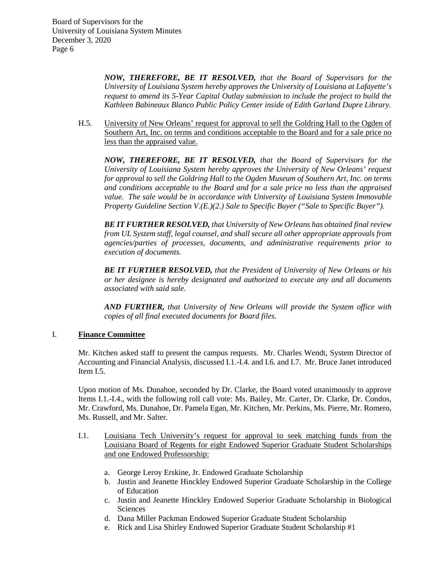> *NOW, THEREFORE, BE IT RESOLVED, that the Board of Supervisors for the University of Louisiana System hereby approves the University of Louisiana at Lafayette's request to amend its 5-Year Capital Outlay submission to include the project to build the Kathleen Babineaux Blanco Public Policy Center inside of Edith Garland Dupre Library.*

H.5. University of New Orleans' request for approval to sell the Goldring Hall to the Ogden of Southern Art, Inc. on terms and conditions acceptable to the Board and for a sale price no less than the appraised value.

*NOW, THEREFORE, BE IT RESOLVED, that the Board of Supervisors for the University of Louisiana System hereby approves the University of New Orleans' request for approval to sell the Goldring Hall to the Ogden Museum of Southern Art, Inc. on terms and conditions acceptable to the Board and for a sale price no less than the appraised value. The sale would be in accordance with University of Louisiana System Immovable Property Guideline Section V.(E.)(2.) Sale to Specific Buyer ("Sale to Specific Buyer").*

*BE IT FURTHER RESOLVED, that University of New Orleans has obtained final review from UL System staff, legal counsel, and shall secure all other appropriate approvals from agencies/parties of processes, documents, and administrative requirements prior to execution of documents.*

*BE IT FURTHER RESOLVED, that the President of University of New Orleans or his or her designee is hereby designated and authorized to execute any and all documents associated with said sale.*

*AND FURTHER, that University of New Orleans will provide the System office with copies of all final executed documents for Board files.*

## I. **Finance Committee**

Mr. Kitchen asked staff to present the campus requests. Mr. Charles Wendt, System Director of Accounting and Financial Analysis, discussed I.1.-I.4. and I.6. and I.7. Mr. Bruce Janet introduced Item I.5.

Upon motion of Ms. Dunahoe, seconded by Dr. Clarke, the Board voted unanimously to approve Items I.1.-I.4., with the following roll call vote: Ms. Bailey, Mr. Carter, Dr. Clarke, Dr. Condos, Mr. Crawford, Ms. Dunahoe, Dr. Pamela Egan, Mr. Kitchen, Mr. Perkins, Ms. Pierre, Mr. Romero, Ms. Russell, and Mr. Salter.

- I.1. Louisiana Tech University's request for approval to seek matching funds from the Louisiana Board of Regents for eight Endowed Superior Graduate Student Scholarships and one Endowed Professorship:
	- a. George Leroy Erskine, Jr. Endowed Graduate Scholarship
	- b. Justin and Jeanette Hinckley Endowed Superior Graduate Scholarship in the College of Education
	- c. Justin and Jeanette Hinckley Endowed Superior Graduate Scholarship in Biological Sciences
	- d. Dana Miller Packman Endowed Superior Graduate Student Scholarship
	- e. Rick and Lisa Shirley Endowed Superior Graduate Student Scholarship #1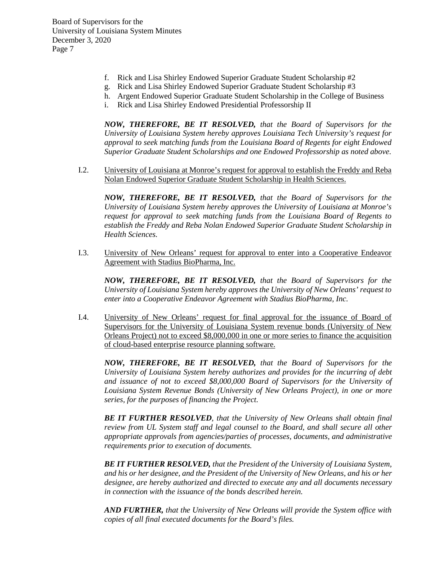- f. Rick and Lisa Shirley Endowed Superior Graduate Student Scholarship #2
- g. Rick and Lisa Shirley Endowed Superior Graduate Student Scholarship #3
- h. Argent Endowed Superior Graduate Student Scholarship in the College of Business
- i. Rick and Lisa Shirley Endowed Presidential Professorship II

*NOW, THEREFORE, BE IT RESOLVED, that the Board of Supervisors for the University of Louisiana System hereby approves Louisiana Tech University's request for approval to seek matching funds from the Louisiana Board of Regents for eight Endowed Superior Graduate Student Scholarships and one Endowed Professorship as noted above.*

I.2. University of Louisiana at Monroe's request for approval to establish the Freddy and Reba Nolan Endowed Superior Graduate Student Scholarship in Health Sciences.

*NOW, THEREFORE, BE IT RESOLVED, that the Board of Supervisors for the University of Louisiana System hereby approves the University of Louisiana at Monroe's request for approval to seek matching funds from the Louisiana Board of Regents to establish the Freddy and Reba Nolan Endowed Superior Graduate Student Scholarship in Health Sciences.*

I.3. University of New Orleans' request for approval to enter into a Cooperative Endeavor Agreement with Stadius BioPharma, Inc.

*NOW, THEREFORE, BE IT RESOLVED, that the Board of Supervisors for the University of Louisiana System hereby approves the University of New Orleans' request to enter into a Cooperative Endeavor Agreement with Stadius BioPharma, Inc.*

I.4. University of New Orleans' request for final approval for the issuance of Board of Supervisors for the University of Louisiana System revenue bonds (University of New Orleans Project) not to exceed \$8,000,000 in one or more series to finance the acquisition of cloud-based enterprise resource planning software.

*NOW, THEREFORE, BE IT RESOLVED, that the Board of Supervisors for the University of Louisiana System hereby authorizes and provides for the incurring of debt and issuance of not to exceed \$8,000,000 Board of Supervisors for the University of Louisiana System Revenue Bonds (University of New Orleans Project), in one or more series, for the purposes of financing the Project.* 

*BE IT FURTHER RESOLVED, that the University of New Orleans shall obtain final review from UL System staff and legal counsel to the Board, and shall secure all other appropriate approvals from agencies/parties of processes, documents, and administrative requirements prior to execution of documents.* 

*BE IT FURTHER RESOLVED, that the President of the University of Louisiana System, and his or her designee, and the President of the University of New Orleans, and his or her designee, are hereby authorized and directed to execute any and all documents necessary in connection with the issuance of the bonds described herein.* 

*AND FURTHER, that the University of New Orleans will provide the System office with copies of all final executed documents for the Board's files.*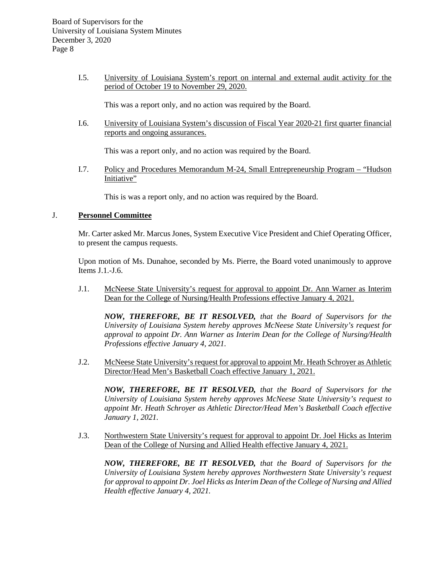I.5. University of Louisiana System's report on internal and external audit activity for the period of October 19 to November 29, 2020.

This was a report only, and no action was required by the Board.

I.6. University of Louisiana System's discussion of Fiscal Year 2020-21 first quarter financial reports and ongoing assurances.

This was a report only, and no action was required by the Board.

I.7. Policy and Procedures Memorandum M-24, Small Entrepreneurship Program – "Hudson Initiative"

This is was a report only, and no action was required by the Board.

## J. **Personnel Committee**

Mr. Carter asked Mr. Marcus Jones, System Executive Vice President and Chief Operating Officer, to present the campus requests.

Upon motion of Ms. Dunahoe, seconded by Ms. Pierre, the Board voted unanimously to approve Items J.1.-J.6.

J.1. McNeese State University's request for approval to appoint Dr. Ann Warner as Interim Dean for the College of Nursing/Health Professions effective January 4, 2021.

*NOW, THEREFORE, BE IT RESOLVED, that the Board of Supervisors for the University of Louisiana System hereby approves McNeese State University's request for approval to appoint Dr. Ann Warner as Interim Dean for the College of Nursing/Health Professions effective January 4, 2021.*

J.2. McNeese State University's request for approval to appoint Mr. Heath Schroyer as Athletic Director/Head Men's Basketball Coach effective January 1, 2021.

*NOW, THEREFORE, BE IT RESOLVED, that the Board of Supervisors for the University of Louisiana System hereby approves McNeese State University's request to appoint Mr. Heath Schroyer as Athletic Director/Head Men's Basketball Coach effective January 1, 2021.*

J.3. Northwestern State University's request for approval to appoint Dr. Joel Hicks as Interim Dean of the College of Nursing and Allied Health effective January 4, 2021.

*NOW, THEREFORE, BE IT RESOLVED, that the Board of Supervisors for the University of Louisiana System hereby approves Northwestern State University's request for approval to appoint Dr. Joel Hicks as Interim Dean of the College of Nursing and Allied Health effective January 4, 2021.*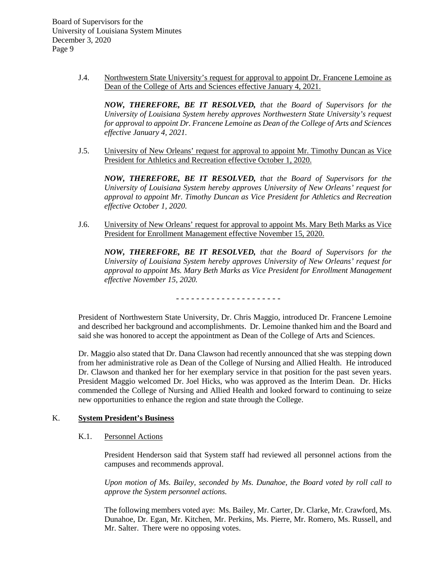> J.4. Northwestern State University's request for approval to appoint Dr. Francene Lemoine as Dean of the College of Arts and Sciences effective January 4, 2021.

*NOW, THEREFORE, BE IT RESOLVED, that the Board of Supervisors for the University of Louisiana System hereby approves Northwestern State University's request for approval to appoint Dr. Francene Lemoine as Dean of the College of Arts and Sciences effective January 4, 2021.*

J.5. University of New Orleans' request for approval to appoint Mr. Timothy Duncan as Vice President for Athletics and Recreation effective October 1, 2020.

*NOW, THEREFORE, BE IT RESOLVED, that the Board of Supervisors for the University of Louisiana System hereby approves University of New Orleans' request for approval to appoint Mr. Timothy Duncan as Vice President for Athletics and Recreation effective October 1, 2020.*

J.6. University of New Orleans' request for approval to appoint Ms. Mary Beth Marks as Vice President for Enrollment Management effective November 15, 2020.

*NOW, THEREFORE, BE IT RESOLVED, that the Board of Supervisors for the University of Louisiana System hereby approves University of New Orleans' request for approval to appoint Ms. Mary Beth Marks as Vice President for Enrollment Management effective November 15, 2020.*

- - - - - - - - - - - - - - - - - - - - -

President of Northwestern State University, Dr. Chris Maggio, introduced Dr. Francene Lemoine and described her background and accomplishments. Dr. Lemoine thanked him and the Board and said she was honored to accept the appointment as Dean of the College of Arts and Sciences.

Dr. Maggio also stated that Dr. Dana Clawson had recently announced that she was stepping down from her administrative role as Dean of the College of Nursing and Allied Health. He introduced Dr. Clawson and thanked her for her exemplary service in that position for the past seven years. President Maggio welcomed Dr. Joel Hicks, who was approved as the Interim Dean. Dr. Hicks commended the College of Nursing and Allied Health and looked forward to continuing to seize new opportunities to enhance the region and state through the College.

## K. **System President's Business**

### K.1. Personnel Actions

President Henderson said that System staff had reviewed all personnel actions from the campuses and recommends approval.

*Upon motion of Ms. Bailey, seconded by Ms. Dunahoe, the Board voted by roll call to approve the System personnel actions.*

The following members voted aye: Ms. Bailey, Mr. Carter, Dr. Clarke, Mr. Crawford, Ms. Dunahoe, Dr. Egan, Mr. Kitchen, Mr. Perkins, Ms. Pierre, Mr. Romero, Ms. Russell, and Mr. Salter. There were no opposing votes.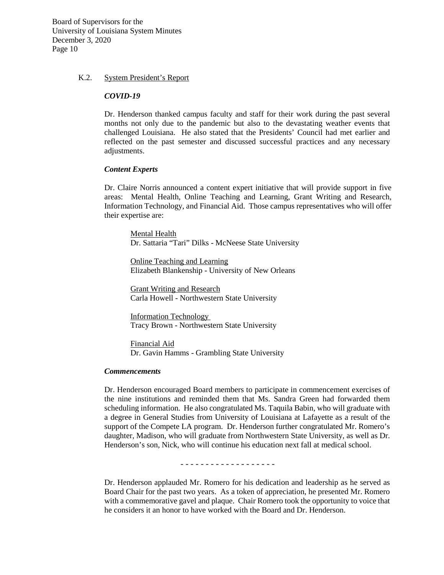#### K.2. System President's Report

#### *COVID-19*

Dr. Henderson thanked campus faculty and staff for their work during the past several months not only due to the pandemic but also to the devastating weather events that challenged Louisiana. He also stated that the Presidents' Council had met earlier and reflected on the past semester and discussed successful practices and any necessary adjustments.

#### *Content Experts*

Dr. Claire Norris announced a content expert initiative that will provide support in five areas: Mental Health, Online Teaching and Learning, Grant Writing and Research, Information Technology, and Financial Aid. Those campus representatives who will offer their expertise are:

Mental Health Dr. Sattaria "Tari" Dilks - McNeese State University

Online Teaching and Learning Elizabeth Blankenship - University of New Orleans

Grant Writing and Research Carla Howell - Northwestern State University

Information Technology Tracy Brown - Northwestern State University

Financial Aid Dr. Gavin Hamms - Grambling State University

#### *Commencements*

Dr. Henderson encouraged Board members to participate in commencement exercises of the nine institutions and reminded them that Ms. Sandra Green had forwarded them scheduling information. He also congratulated Ms. Taquila Babin, who will graduate with a degree in General Studies from University of Louisiana at Lafayette as a result of the support of the Compete LA program. Dr. Henderson further congratulated Mr. Romero's daughter, Madison, who will graduate from Northwestern State University, as well as Dr. Henderson's son, Nick, who will continue his education next fall at medical school.

- - - - - - - - - - - - - - - - - - -

Dr. Henderson applauded Mr. Romero for his dedication and leadership as he served as Board Chair for the past two years. As a token of appreciation, he presented Mr. Romero with a commemorative gavel and plaque. Chair Romero took the opportunity to voice that he considers it an honor to have worked with the Board and Dr. Henderson.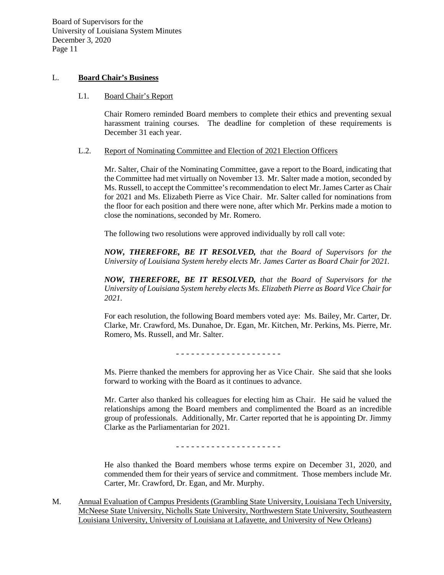### L. **Board Chair's Business**

### L1. Board Chair's Report

Chair Romero reminded Board members to complete their ethics and preventing sexual harassment training courses. The deadline for completion of these requirements is December 31 each year.

### L.2. Report of Nominating Committee and Election of 2021 Election Officers

Mr. Salter, Chair of the Nominating Committee, gave a report to the Board, indicating that the Committee had met virtually on November 13. Mr. Salter made a motion, seconded by Ms. Russell, to accept the Committee's recommendation to elect Mr. James Carter as Chair for 2021 and Ms. Elizabeth Pierre as Vice Chair. Mr. Salter called for nominations from the floor for each position and there were none, after which Mr. Perkins made a motion to close the nominations, seconded by Mr. Romero.

The following two resolutions were approved individually by roll call vote:

*NOW, THEREFORE, BE IT RESOLVED, that the Board of Supervisors for the University of Louisiana System hereby elects Mr. James Carter as Board Chair for 2021.* 

*NOW, THEREFORE, BE IT RESOLVED, that the Board of Supervisors for the University of Louisiana System hereby elects Ms. Elizabeth Pierre as Board Vice Chair for 2021.* 

For each resolution, the following Board members voted aye: Ms. Bailey, Mr. Carter, Dr. Clarke, Mr. Crawford, Ms. Dunahoe, Dr. Egan, Mr. Kitchen, Mr. Perkins, Ms. Pierre, Mr. Romero, Ms. Russell, and Mr. Salter.

- - - - - - - - - - - - - - - - - - - - -

Ms. Pierre thanked the members for approving her as Vice Chair. She said that she looks forward to working with the Board as it continues to advance.

Mr. Carter also thanked his colleagues for electing him as Chair. He said he valued the relationships among the Board members and complimented the Board as an incredible group of professionals. Additionally, Mr. Carter reported that he is appointing Dr. Jimmy Clarke as the Parliamentarian for 2021.

- - - - - - - - - - - - - - - - - - - - -

He also thanked the Board members whose terms expire on December 31, 2020, and commended them for their years of service and commitment. Those members include Mr. Carter, Mr. Crawford, Dr. Egan, and Mr. Murphy.

M. Annual Evaluation of Campus Presidents (Grambling State University, Louisiana Tech University, McNeese State University, Nicholls State University, Northwestern State University, Southeastern Louisiana University, University of Louisiana at Lafayette, and University of New Orleans)